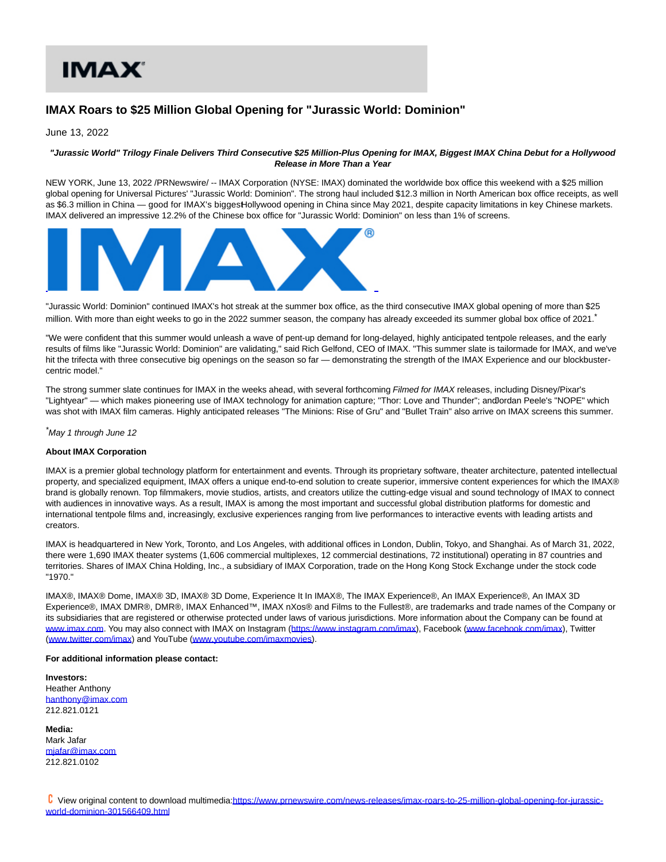# IMA X'

## **IMAX Roars to \$25 Million Global Opening for "Jurassic World: Dominion"**

June 13, 2022

### **"Jurassic World" Trilogy Finale Delivers Third Consecutive \$25 Million-Plus Opening for IMAX, Biggest IMAX China Debut for a Hollywood Release in More Than a Year**

NEW YORK, June 13, 2022 /PRNewswire/ -- IMAX Corporation (NYSE: IMAX) dominated the worldwide box office this weekend with a \$25 million global opening for Universal Pictures' "Jurassic World: Dominion". The strong haul included \$12.3 million in North American box office receipts, as well as \$6.3 million in China — good for IMAX's biggest Hollywood opening in China since May 2021, despite capacity limitations in key Chinese markets. IMAX delivered an impressive 12.2% of the Chinese box office for "Jurassic World: Dominion" on less than 1% of screens.



"Jurassic World: Dominion" continued IMAX's hot streak at the summer box office, as the third consecutive IMAX global opening of more than \$25 million. With more than eight weeks to go in the 2022 summer season, the company has already exceeded its summer global box office of 2021.

"We were confident that this summer would unleash a wave of pent-up demand for long-delayed, highly anticipated tentpole releases, and the early results of films like "Jurassic World: Dominion" are validating," said Rich Gelfond, CEO of IMAX. "This summer slate is tailormade for IMAX, and we've hit the trifecta with three consecutive big openings on the season so far — demonstrating the strength of the IMAX Experience and our blockbustercentric model."

The strong summer slate continues for IMAX in the weeks ahead, with several forthcoming Filmed for IMAX releases, including Disney/Pixar's "Lightyear" — which makes pioneering use of IMAX technology for animation capture; "Thor: Love and Thunder"; and ordan Peele's "NOPE" which was shot with IMAX film cameras. Highly anticipated releases "The Minions: Rise of Gru" and "Bullet Train" also arrive on IMAX screens this summer.

\*May 1 through June 12

#### **About IMAX Corporation**

IMAX is a premier global technology platform for entertainment and events. Through its proprietary software, theater architecture, patented intellectual property, and specialized equipment, IMAX offers a unique end-to-end solution to create superior, immersive content experiences for which the IMAX® brand is globally renown. Top filmmakers, movie studios, artists, and creators utilize the cutting-edge visual and sound technology of IMAX to connect with audiences in innovative ways. As a result, IMAX is among the most important and successful global distribution platforms for domestic and international tentpole films and, increasingly, exclusive experiences ranging from live performances to interactive events with leading artists and creators.

IMAX is headquartered in New York, Toronto, and Los Angeles, with additional offices in London, Dublin, Tokyo, and Shanghai. As of March 31, 2022, there were 1,690 IMAX theater systems (1,606 commercial multiplexes, 12 commercial destinations, 72 institutional) operating in 87 countries and territories. Shares of IMAX China Holding, Inc., a subsidiary of IMAX Corporation, trade on the Hong Kong Stock Exchange under the stock code "1970."

IMAX®, IMAX® Dome, IMAX® 3D, IMAX® 3D Dome, Experience It In IMAX®, The IMAX Experience®, An IMAX Experience®, An IMAX 3D Experience®, IMAX DMR®, DMR®, IMAX Enhanced™, IMAX nXos® and Films to the Fullest®, are trademarks and trade names of the Company or its subsidiaries that are registered or otherwise protected under laws of various jurisdictions. More information about the Company can be found at [www.imax.com.](https://c212.net/c/link/?t=0&l=en&o=3564861-1&h=12918872&u=http%3A%2F%2Fwww.imax.com%2F&a=www.imax.com) You may also connect with IMAX on Instagram [\(https://www.instagram.com/imax\),](https://c212.net/c/link/?t=0&l=en&o=3564861-1&h=1171043848&u=https%3A%2F%2Fwww.instagram.com%2Fimax&a=https%3A%2F%2Fwww.instagram.com%2Fimax) Facebook [\(www.facebook.com/imax\),](https://c212.net/c/link/?t=0&l=en&o=3564861-1&h=1683499289&u=http%3A%2F%2Fwww.facebook.com%2Fimax&a=www.facebook.com%2Fimax) Twitter [\(www.twitter.com/imax\)](https://c212.net/c/link/?t=0&l=en&o=3564861-1&h=639293818&u=http%3A%2F%2Fwww.twitter.com%2Fimax&a=www.twitter.com%2Fimax) and YouTube [\(www.youtube.com/imaxmovies\).](https://c212.net/c/link/?t=0&l=en&o=3564861-1&h=1638155929&u=http%3A%2F%2Fwww.youtube.com%2Fimaxmovies&a=www.youtube.com%2Fimaxmovies)

#### **For additional information please contact:**

**Investors:** Heather Anthony [hanthony@imax.com](mailto:hanthony@imax.xom) 212.821.0121

**Media:** Mark Jafar [mjafar@imax.com](mailto:mjafar@imax.com) 212.821.0102

 View original content to download multimedia[:https://www.prnewswire.com/news-releases/imax-roars-to-25-million-global-opening-for-jurassic](https://www.prnewswire.com/news-releases/imax-roars-to-25-million-global-opening-for-jurassic-world-dominion-301566409.html)world-dominion-301566409.html